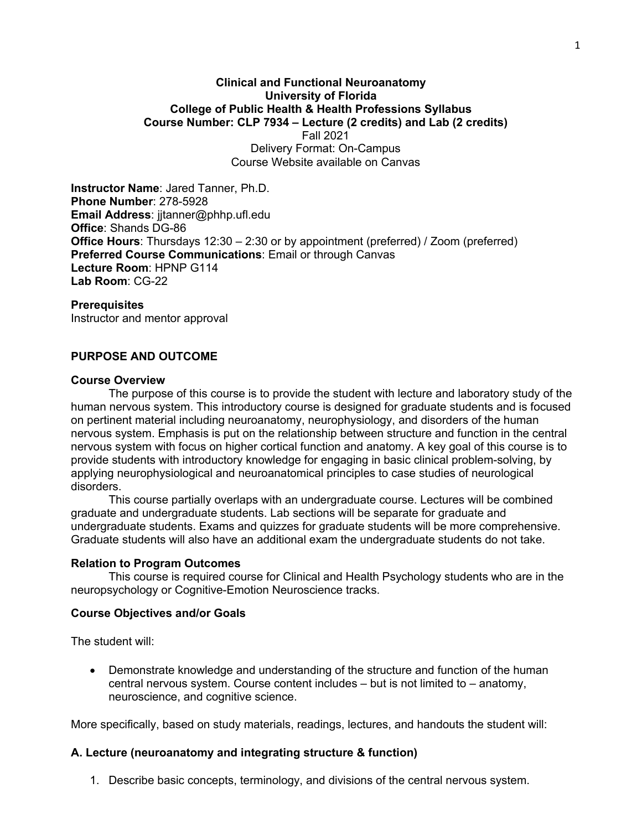#### **Clinical and Functional Neuroanatomy University of Florida College of Public Health & Health Professions Syllabus Course Number: CLP 7934 – Lecture (2 credits) and Lab (2 credits)** Fall 2021 Delivery Format: On-Campus

Course Website available on Canvas

**Instructor Name**: Jared Tanner, Ph.D. **Phone Number**: 278-5928 **Email Address**: jjtanner@phhp.ufl.edu **Office**: Shands DG-86 **Office Hours**: Thursdays 12:30 – 2:30 or by appointment (preferred) / Zoom (preferred) **Preferred Course Communications**: Email or through Canvas **Lecture Room**: HPNP G114 **Lab Room**: CG-22

#### **Prerequisites**

Instructor and mentor approval

### **PURPOSE AND OUTCOME**

#### **Course Overview**

The purpose of this course is to provide the student with lecture and laboratory study of the human nervous system. This introductory course is designed for graduate students and is focused on pertinent material including neuroanatomy, neurophysiology, and disorders of the human nervous system. Emphasis is put on the relationship between structure and function in the central nervous system with focus on higher cortical function and anatomy. A key goal of this course is to provide students with introductory knowledge for engaging in basic clinical problem-solving, by applying neurophysiological and neuroanatomical principles to case studies of neurological disorders.

This course partially overlaps with an undergraduate course. Lectures will be combined graduate and undergraduate students. Lab sections will be separate for graduate and undergraduate students. Exams and quizzes for graduate students will be more comprehensive. Graduate students will also have an additional exam the undergraduate students do not take.

#### **Relation to Program Outcomes**

This course is required course for Clinical and Health Psychology students who are in the neuropsychology or Cognitive-Emotion Neuroscience tracks.

#### **Course Objectives and/or Goals**

The student will:

• Demonstrate knowledge and understanding of the structure and function of the human central nervous system. Course content includes – but is not limited to – anatomy, neuroscience, and cognitive science.

More specifically, based on study materials, readings, lectures, and handouts the student will:

#### **A. Lecture (neuroanatomy and integrating structure & function)**

1. Describe basic concepts, terminology, and divisions of the central nervous system.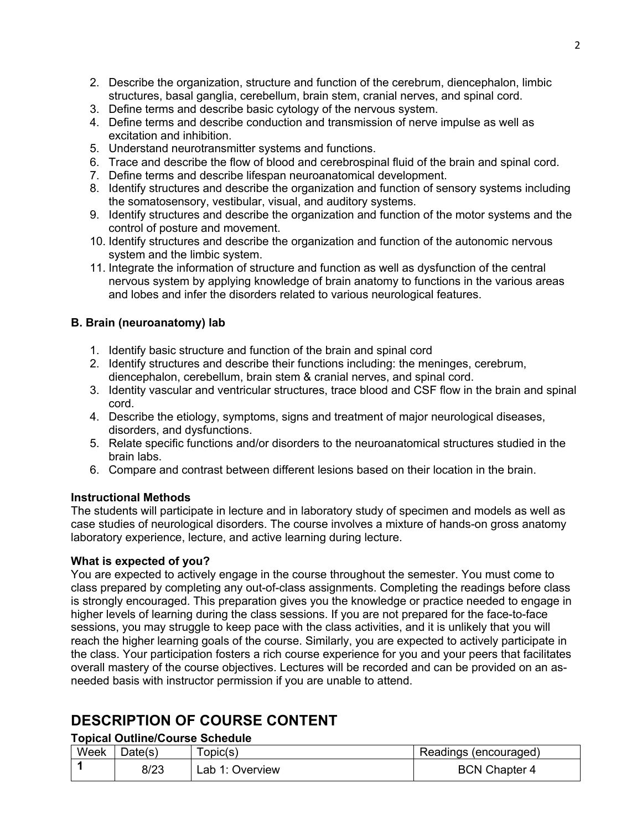- 2. Describe the organization, structure and function of the cerebrum, diencephalon, limbic structures, basal ganglia, cerebellum, brain stem, cranial nerves, and spinal cord.
- 3. Define terms and describe basic cytology of the nervous system.
- 4. Define terms and describe conduction and transmission of nerve impulse as well as excitation and inhibition.
- 5. Understand neurotransmitter systems and functions.
- 6. Trace and describe the flow of blood and cerebrospinal fluid of the brain and spinal cord.
- 7. Define terms and describe lifespan neuroanatomical development.
- 8. Identify structures and describe the organization and function of sensory systems including the somatosensory, vestibular, visual, and auditory systems.
- 9. Identify structures and describe the organization and function of the motor systems and the control of posture and movement.
- 10. Identify structures and describe the organization and function of the autonomic nervous system and the limbic system.
- 11. Integrate the information of structure and function as well as dysfunction of the central nervous system by applying knowledge of brain anatomy to functions in the various areas and lobes and infer the disorders related to various neurological features.

# **B. Brain (neuroanatomy) lab**

- 1. Identify basic structure and function of the brain and spinal cord
- 2. Identify structures and describe their functions including: the meninges, cerebrum, diencephalon, cerebellum, brain stem & cranial nerves, and spinal cord.
- 3. Identity vascular and ventricular structures, trace blood and CSF flow in the brain and spinal cord.
- 4. Describe the etiology, symptoms, signs and treatment of major neurological diseases, disorders, and dysfunctions.
- 5. Relate specific functions and/or disorders to the neuroanatomical structures studied in the brain labs.
- 6. Compare and contrast between different lesions based on their location in the brain.

# **Instructional Methods**

The students will participate in lecture and in laboratory study of specimen and models as well as case studies of neurological disorders. The course involves a mixture of hands-on gross anatomy laboratory experience, lecture, and active learning during lecture.

# **What is expected of you?**

You are expected to actively engage in the course throughout the semester. You must come to class prepared by completing any out-of-class assignments. Completing the readings before class is strongly encouraged. This preparation gives you the knowledge or practice needed to engage in higher levels of learning during the class sessions. If you are not prepared for the face-to-face sessions, you may struggle to keep pace with the class activities, and it is unlikely that you will reach the higher learning goals of the course. Similarly, you are expected to actively participate in the class. Your participation fosters a rich course experience for you and your peers that facilitates overall mastery of the course objectives. Lectures will be recorded and can be provided on an asneeded basis with instructor permission if you are unable to attend.

# **DESCRIPTION OF COURSE CONTENT**

# **Topical Outline/Course Schedule**

| Week | Date(s) | opic(s)         | Readings (encouraged) |
|------|---------|-----------------|-----------------------|
|      | 8/23    | Lab 1: Overview | <b>BCN Chapter 4</b>  |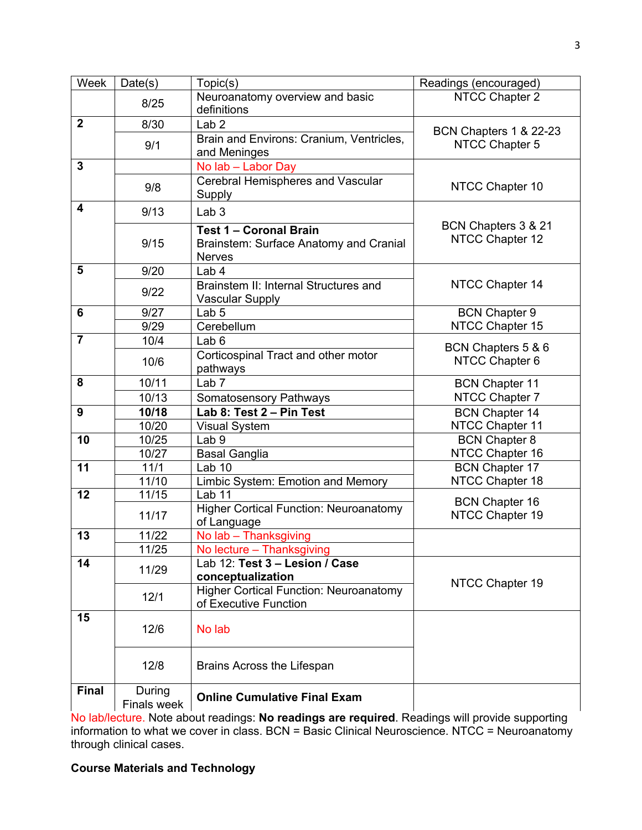| Week           | Date(s)                      | Topic(s)                                                                                 | Readings (encouraged)                    |  |  |  |
|----------------|------------------------------|------------------------------------------------------------------------------------------|------------------------------------------|--|--|--|
|                |                              | Neuroanatomy overview and basic                                                          | NTCC Chapter 2                           |  |  |  |
|                | 8/25                         | definitions                                                                              |                                          |  |  |  |
| $\mathbf{2}$   | 8/30                         | Lab <sub>2</sub>                                                                         | BCN Chapters 1 & 22-23                   |  |  |  |
|                | 9/1                          | Brain and Environs: Cranium, Ventricles,<br>and Meninges                                 | NTCC Chapter 5                           |  |  |  |
| $\overline{3}$ |                              | No lab - Labor Day                                                                       |                                          |  |  |  |
|                | 9/8                          | Cerebral Hemispheres and Vascular<br>Supply                                              | NTCC Chapter 10                          |  |  |  |
| 4              | 9/13                         | Lab <sub>3</sub>                                                                         |                                          |  |  |  |
|                | 9/15                         | <b>Test 1 - Coronal Brain</b><br>Brainstem: Surface Anatomy and Cranial<br><b>Nerves</b> | BCN Chapters 3 & 21<br>NTCC Chapter 12   |  |  |  |
| 5              | 9/20                         | Lab 4                                                                                    |                                          |  |  |  |
|                | 9/22                         | Brainstem II: Internal Structures and<br><b>Vascular Supply</b>                          | NTCC Chapter 14                          |  |  |  |
| 6              | 9/27                         | Lab <sub>5</sub>                                                                         | <b>BCN Chapter 9</b>                     |  |  |  |
|                | 9/29                         | Cerebellum                                                                               | NTCC Chapter 15                          |  |  |  |
| $\overline{7}$ | 10/4                         | Lab <sub>6</sub>                                                                         | BCN Chapters 5 & 6                       |  |  |  |
|                | 10/6                         | Corticospinal Tract and other motor<br>pathways                                          | NTCC Chapter 6                           |  |  |  |
| 8              | 10/11                        | Lab <sub>7</sub>                                                                         | <b>BCN Chapter 11</b>                    |  |  |  |
|                | 10/13                        | <b>Somatosensory Pathways</b>                                                            | NTCC Chapter 7                           |  |  |  |
| 9              | 10/18                        | Lab 8: Test 2 - Pin Test                                                                 | <b>BCN Chapter 14</b>                    |  |  |  |
|                | 10/20                        | <b>Visual System</b>                                                                     | NTCC Chapter 11                          |  |  |  |
| 10             | 10/25                        | Lab <sub>9</sub>                                                                         | <b>BCN Chapter 8</b>                     |  |  |  |
|                | 10/27                        | <b>Basal Ganglia</b>                                                                     | NTCC Chapter 16                          |  |  |  |
| 11             | 11/1                         | Lab <sub>10</sub>                                                                        | <b>BCN Chapter 17</b>                    |  |  |  |
|                | 11/10                        | Limbic System: Emotion and Memory                                                        | NTCC Chapter 18                          |  |  |  |
| 12             | 11/15<br>11/17               | Lab <sub>11</sub><br><b>Higher Cortical Function: Neuroanatomy</b><br>of Language        | <b>BCN Chapter 16</b><br>NTCC Chapter 19 |  |  |  |
| 13             | 11/22                        | No lab - Thanksgiving                                                                    |                                          |  |  |  |
|                | 11/25                        | No lecture - Thanksgiving                                                                |                                          |  |  |  |
| 14             | 11/29                        | Lab 12: Test 3 - Lesion / Case<br>conceptualization                                      |                                          |  |  |  |
|                | 12/1                         | <b>Higher Cortical Function: Neuroanatomy</b><br>of Executive Function                   | NTCC Chapter 19                          |  |  |  |
| 15             | 12/6                         | No lab                                                                                   |                                          |  |  |  |
|                | 12/8                         | Brains Across the Lifespan                                                               |                                          |  |  |  |
| <b>Final</b>   | During<br><b>Finals week</b> | <b>Online Cumulative Final Exam</b>                                                      |                                          |  |  |  |

No lab/lecture. Note about readings: **No readings are required**. Readings will provide supporting information to what we cover in class. BCN = Basic Clinical Neuroscience. NTCC = Neuroanatomy through clinical cases.

# **Course Materials and Technology**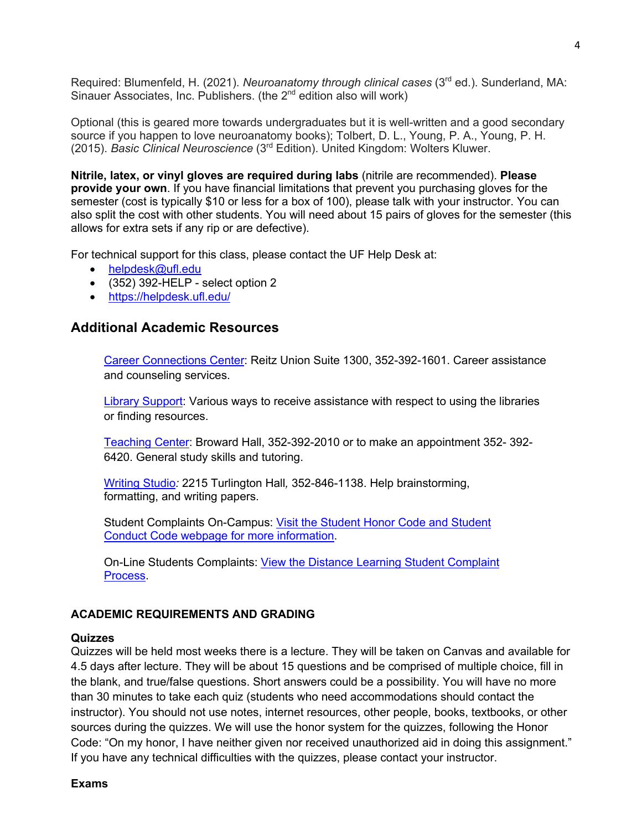Required: Blumenfeld, H. (2021). *Neuroanatomy through clinical cases* (3rd ed.). Sunderland, MA: Sinauer Associates, Inc. Publishers. (the 2<sup>nd</sup> edition also will work)

Optional (this is geared more towards undergraduates but it is well-written and a good secondary source if you happen to love neuroanatomy books); Tolbert, D. L., Young, P. A., Young, P. H. (2015). *Basic Clinical Neuroscience* (3rd Edition). United Kingdom: Wolters Kluwer.

**Nitrile, latex, or vinyl gloves are required during labs** (nitrile are recommended). **Please provide your own**. If you have financial limitations that prevent you purchasing gloves for the semester (cost is typically \$10 or less for a box of 100), please talk with your instructor. You can also split the cost with other students. You will need about 15 pairs of gloves for the semester (this allows for extra sets if any rip or are defective).

For technical support for this class, please contact the UF Help Desk at:

- helpdesk@ufl.edu
- (352) 392-HELP select option 2
- https://helpdesk.ufl.edu/

# **Additional Academic Resources**

Career Connections Center: Reitz Union Suite 1300, 352-392-1601. Career assistance and counseling services.

Library Support: Various ways to receive assistance with respect to using the libraries or finding resources.

Teaching Center: Broward Hall, 352-392-2010 or to make an appointment 352- 392- 6420. General study skills and tutoring.

Writing Studio*:* 2215 Turlington Hall*,* 352-846-1138. Help brainstorming, formatting, and writing papers.

Student Complaints On-Campus: Visit the Student Honor Code and Student Conduct Code webpage for more information.

On-Line Students Complaints: View the Distance Learning Student Complaint Process.

# **ACADEMIC REQUIREMENTS AND GRADING**

### **Quizzes**

Quizzes will be held most weeks there is a lecture. They will be taken on Canvas and available for 4.5 days after lecture. They will be about 15 questions and be comprised of multiple choice, fill in the blank, and true/false questions. Short answers could be a possibility. You will have no more than 30 minutes to take each quiz (students who need accommodations should contact the instructor). You should not use notes, internet resources, other people, books, textbooks, or other sources during the quizzes. We will use the honor system for the quizzes, following the Honor Code: "On my honor, I have neither given nor received unauthorized aid in doing this assignment." If you have any technical difficulties with the quizzes, please contact your instructor.

## **Exams**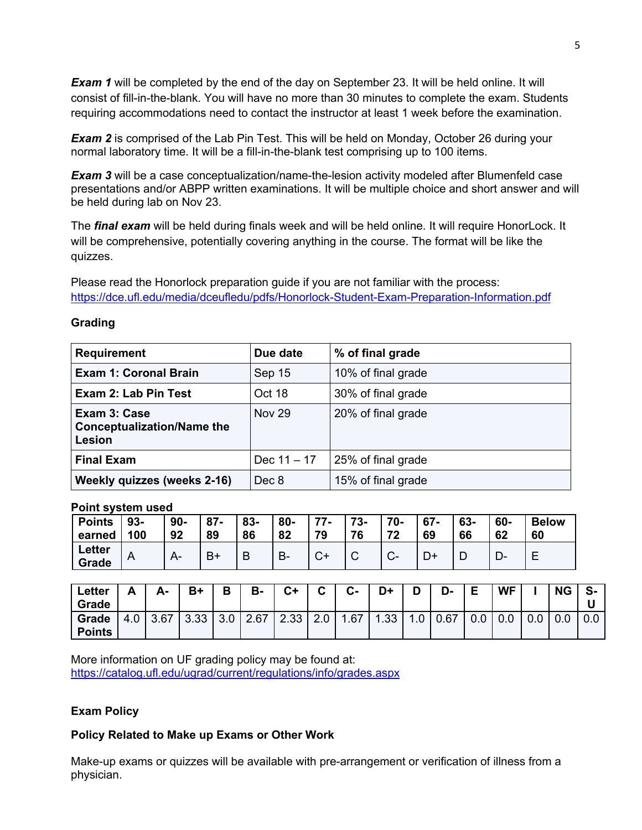*Exam 1* will be completed by the end of the day on September 23. It will be held online. It will consist of fill-in-the-blank. You will have no more than 30 minutes to complete the exam. Students requiring accommodations need to contact the instructor at least 1 week before the examination.

**Exam 2** is comprised of the Lab Pin Test. This will be held on Monday, October 26 during your normal laboratory time. It will be a fill-in-the-blank test comprising up to 100 items.

**Exam 3** will be a case conceptualization/name-the-lesion activity modeled after Blumenfeld case presentations and/or ABPP written examinations. It will be multiple choice and short answer and will be held during lab on Nov 23.

The *final exam* will be held during finals week and will be held online. It will require HonorLock. It will be comprehensive, potentially covering anything in the course. The format will be like the quizzes.

Please read the Honorlock preparation guide if you are not familiar with the process: https://dce.ufl.edu/media/dceufledu/pdfs/Honorlock-Student-Exam-Preparation-Information.pdf

| <b>Requirement</b>                                                 | Due date      | % of final grade   |
|--------------------------------------------------------------------|---------------|--------------------|
| <b>Exam 1: Coronal Brain</b>                                       | Sep 15        | 10% of final grade |
| Exam 2: Lab Pin Test                                               | Oct 18        | 30% of final grade |
| Exam 3: Case<br><b>Conceptualization/Name the</b><br><b>Lesion</b> | <b>Nov 29</b> | 20% of final grade |
| <b>Final Exam</b>                                                  | Dec $11 - 17$ | 25% of final grade |
| <b>Weekly quizzes (weeks 2-16)</b>                                 | Dec 8         | 15% of final grade |

## **Grading**

**Point system used**

| <b>Points</b>          | 93- | $90-$ | 87-  | 83- | $80-$     | 77- | 73- | 70- | $67 -$ | 63- | 60- | <b>Below</b> |
|------------------------|-----|-------|------|-----|-----------|-----|-----|-----|--------|-----|-----|--------------|
| earned                 | 100 | 92    | 89   | 86  | 82        | 79  | 76  | 72  | 69     | 66  | 62  | 60           |
| <b>Letter</b><br>Grade | A   |       | $B+$ |     | <b>B-</b> |     |     | U-  |        |     |     |              |

| Letter<br>Grade        | Δ<br>́г | Δ.   | B+   | D   | В-   | $C+$ | $\sim$<br>u | $C -$                 | D+   | D   | D-   | Е   | <b>WF</b> |     | <b>NG</b> | S-  |
|------------------------|---------|------|------|-----|------|------|-------------|-----------------------|------|-----|------|-----|-----------|-----|-----------|-----|
| Grade<br><b>Points</b> | 4.0     | 3.67 | 3.33 | 3.0 | 2.67 | 2.33 | 2.0         | .67<br>$\overline{ }$ | 1.33 | 1.0 | 0.67 | 0.0 | 0.0       | 0.0 |           | 0.0 |

More information on UF grading policy may be found at: https://catalog.ufl.edu/ugrad/current/regulations/info/grades.aspx

# **Exam Policy**

# **Policy Related to Make up Exams or Other Work**

Make-up exams or quizzes will be available with pre-arrangement or verification of illness from a physician.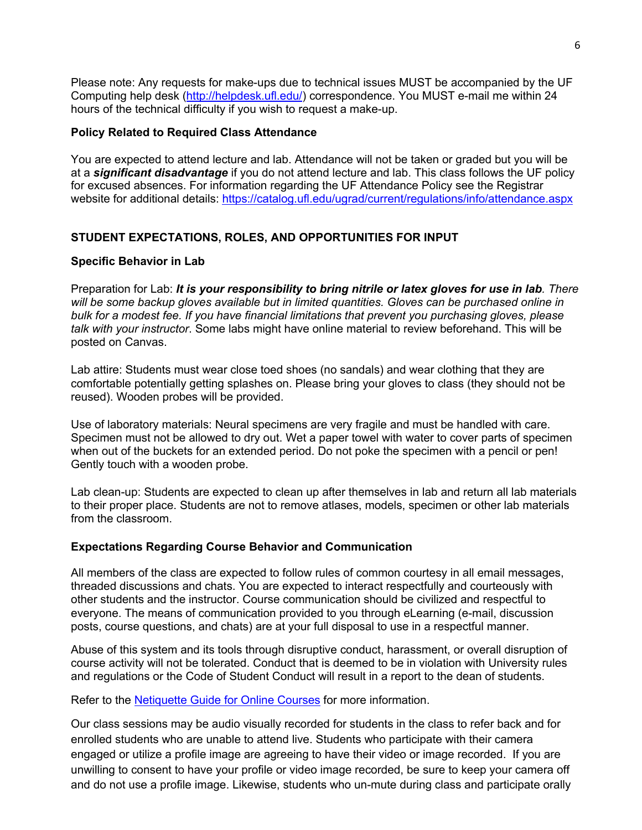Please note: Any requests for make-ups due to technical issues MUST be accompanied by the UF Computing help desk (http://helpdesk.ufl.edu/) correspondence. You MUST e-mail me within 24 hours of the technical difficulty if you wish to request a make-up.

## **Policy Related to Required Class Attendance**

You are expected to attend lecture and lab. Attendance will not be taken or graded but you will be at a *significant disadvantage* if you do not attend lecture and lab. This class follows the UF policy for excused absences. For information regarding the UF Attendance Policy see the Registrar website for additional details: https://catalog.ufl.edu/ugrad/current/regulations/info/attendance.aspx

# **STUDENT EXPECTATIONS, ROLES, AND OPPORTUNITIES FOR INPUT**

## **Specific Behavior in Lab**

Preparation for Lab: *It is your responsibility to bring nitrile or latex gloves for use in lab. There will be some backup gloves available but in limited quantities. Gloves can be purchased online in bulk for a modest fee. If you have financial limitations that prevent you purchasing gloves, please talk with your instructor*. Some labs might have online material to review beforehand. This will be posted on Canvas.

Lab attire: Students must wear close toed shoes (no sandals) and wear clothing that they are comfortable potentially getting splashes on. Please bring your gloves to class (they should not be reused). Wooden probes will be provided.

Use of laboratory materials: Neural specimens are very fragile and must be handled with care. Specimen must not be allowed to dry out. Wet a paper towel with water to cover parts of specimen when out of the buckets for an extended period. Do not poke the specimen with a pencil or pen! Gently touch with a wooden probe.

Lab clean-up: Students are expected to clean up after themselves in lab and return all lab materials to their proper place. Students are not to remove atlases, models, specimen or other lab materials from the classroom.

### **Expectations Regarding Course Behavior and Communication**

All members of the class are expected to follow rules of common courtesy in all email messages, threaded discussions and chats. You are expected to interact respectfully and courteously with other students and the instructor. Course communication should be civilized and respectful to everyone. The means of communication provided to you through eLearning (e-mail, discussion posts, course questions, and chats) are at your full disposal to use in a respectful manner.

Abuse of this system and its tools through disruptive conduct, harassment, or overall disruption of course activity will not be tolerated. Conduct that is deemed to be in violation with University rules and regulations or the Code of Student Conduct will result in a report to the dean of students.

Refer to the **Netiquette Guide for Online Courses** for more information.

Our class sessions may be audio visually recorded for students in the class to refer back and for enrolled students who are unable to attend live. Students who participate with their camera engaged or utilize a profile image are agreeing to have their video or image recorded. If you are unwilling to consent to have your profile or video image recorded, be sure to keep your camera off and do not use a profile image. Likewise, students who un-mute during class and participate orally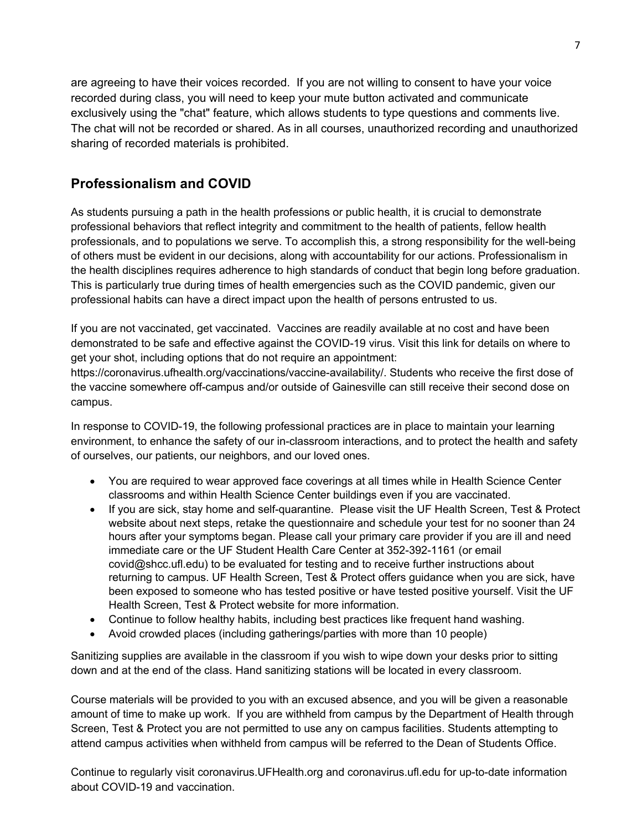are agreeing to have their voices recorded. If you are not willing to consent to have your voice recorded during class, you will need to keep your mute button activated and communicate exclusively using the "chat" feature, which allows students to type questions and comments live. The chat will not be recorded or shared. As in all courses, unauthorized recording and unauthorized sharing of recorded materials is prohibited.

# **Professionalism and COVID**

As students pursuing a path in the health professions or public health, it is crucial to demonstrate professional behaviors that reflect integrity and commitment to the health of patients, fellow health professionals, and to populations we serve. To accomplish this, a strong responsibility for the well-being of others must be evident in our decisions, along with accountability for our actions. Professionalism in the health disciplines requires adherence to high standards of conduct that begin long before graduation. This is particularly true during times of health emergencies such as the COVID pandemic, given our professional habits can have a direct impact upon the health of persons entrusted to us.

If you are not vaccinated, get vaccinated. Vaccines are readily available at no cost and have been demonstrated to be safe and effective against the COVID-19 virus. Visit this link for details on where to get your shot, including options that do not require an appointment:

https://coronavirus.ufhealth.org/vaccinations/vaccine-availability/. Students who receive the first dose of the vaccine somewhere off-campus and/or outside of Gainesville can still receive their second dose on campus.

In response to COVID-19, the following professional practices are in place to maintain your learning environment, to enhance the safety of our in-classroom interactions, and to protect the health and safety of ourselves, our patients, our neighbors, and our loved ones.

- You are required to wear approved face coverings at all times while in Health Science Center classrooms and within Health Science Center buildings even if you are vaccinated.
- If you are sick, stay home and self-quarantine. Please visit the UF Health Screen, Test & Protect website about next steps, retake the questionnaire and schedule your test for no sooner than 24 hours after your symptoms began. Please call your primary care provider if you are ill and need immediate care or the UF Student Health Care Center at 352-392-1161 (or email covid@shcc.ufl.edu) to be evaluated for testing and to receive further instructions about returning to campus. UF Health Screen, Test & Protect offers guidance when you are sick, have been exposed to someone who has tested positive or have tested positive yourself. Visit the UF Health Screen, Test & Protect website for more information.
- Continue to follow healthy habits, including best practices like frequent hand washing.
- Avoid crowded places (including gatherings/parties with more than 10 people)

Sanitizing supplies are available in the classroom if you wish to wipe down your desks prior to sitting down and at the end of the class. Hand sanitizing stations will be located in every classroom.

Course materials will be provided to you with an excused absence, and you will be given a reasonable amount of time to make up work. If you are withheld from campus by the Department of Health through Screen, Test & Protect you are not permitted to use any on campus facilities. Students attempting to attend campus activities when withheld from campus will be referred to the Dean of Students Office.

Continue to regularly visit coronavirus.UFHealth.org and coronavirus.ufl.edu for up-to-date information about COVID-19 and vaccination.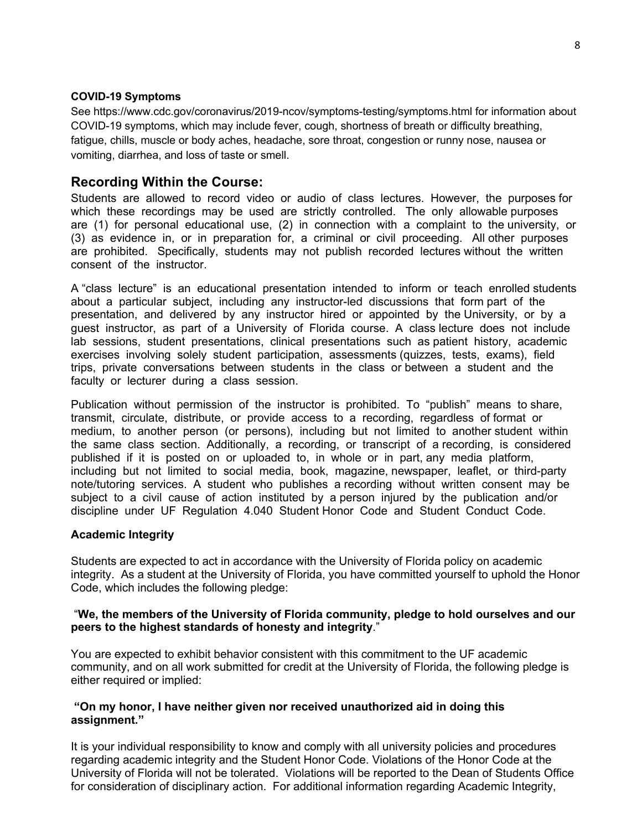#### **COVID-19 Symptoms**

See https://www.cdc.gov/coronavirus/2019-ncov/symptoms-testing/symptoms.html for information about COVID-19 symptoms, which may include fever, cough, shortness of breath or difficulty breathing, fatigue, chills, muscle or body aches, headache, sore throat, congestion or runny nose, nausea or vomiting, diarrhea, and loss of taste or smell.

# **Recording Within the Course:**

Students are allowed to record video or audio of class lectures. However, the purposes for which these recordings may be used are strictly controlled. The only allowable purposes are (1) for personal educational use, (2) in connection with a complaint to the university, or (3) as evidence in, or in preparation for, a criminal or civil proceeding. All other purposes are prohibited. Specifically, students may not publish recorded lectures without the written consent of the instructor.

A "class lecture" is an educational presentation intended to inform or teach enrolled students about a particular subject, including any instructor-led discussions that form part of the presentation, and delivered by any instructor hired or appointed by the University, or by a guest instructor, as part of a University of Florida course. A class lecture does not include lab sessions, student presentations, clinical presentations such as patient history, academic exercises involving solely student participation, assessments (quizzes, tests, exams), field trips, private conversations between students in the class or between a student and the faculty or lecturer during a class session.

Publication without permission of the instructor is prohibited. To "publish" means to share, transmit, circulate, distribute, or provide access to a recording, regardless of format or medium, to another person (or persons), including but not limited to another student within the same class section. Additionally, a recording, or transcript of a recording, is considered published if it is posted on or uploaded to, in whole or in part, any media platform, including but not limited to social media, book, magazine, newspaper, leaflet, or third-party note/tutoring services. A student who publishes a recording without written consent may be subject to a civil cause of action instituted by a person injured by the publication and/or discipline under UF Regulation 4.040 Student Honor Code and Student Conduct Code.

### **Academic Integrity**

Students are expected to act in accordance with the University of Florida policy on academic integrity. As a student at the University of Florida, you have committed yourself to uphold the Honor Code, which includes the following pledge:

### "**We, the members of the University of Florida community, pledge to hold ourselves and our peers to the highest standards of honesty and integrity**."

You are expected to exhibit behavior consistent with this commitment to the UF academic community, and on all work submitted for credit at the University of Florida, the following pledge is either required or implied:

### **"On my honor, I have neither given nor received unauthorized aid in doing this assignment."**

It is your individual responsibility to know and comply with all university policies and procedures regarding academic integrity and the Student Honor Code. Violations of the Honor Code at the University of Florida will not be tolerated. Violations will be reported to the Dean of Students Office for consideration of disciplinary action. For additional information regarding Academic Integrity,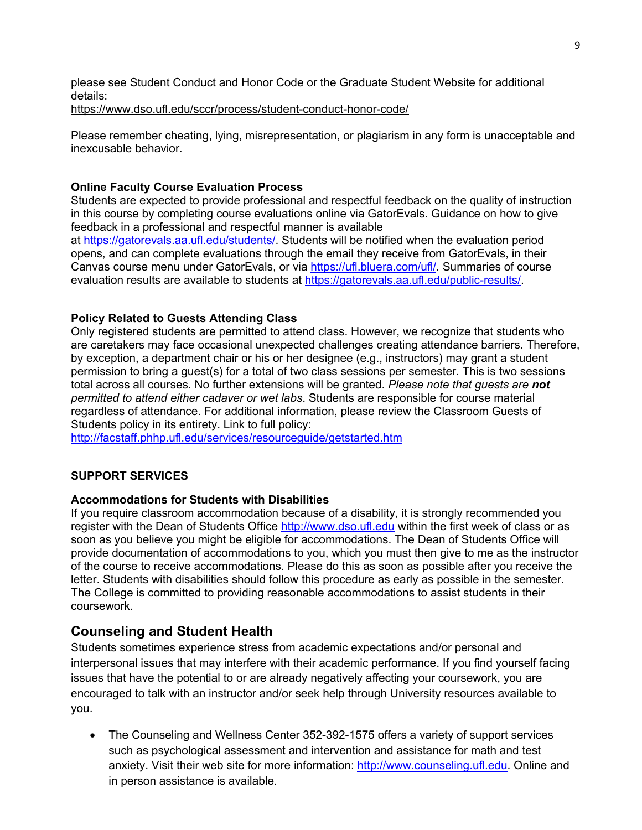please see Student Conduct and Honor Code or the Graduate Student Website for additional details:

https://www.dso.ufl.edu/sccr/process/student-conduct-honor-code/

Please remember cheating, lying, misrepresentation, or plagiarism in any form is unacceptable and inexcusable behavior.

# **Online Faculty Course Evaluation Process**

Students are expected to provide professional and respectful feedback on the quality of instruction in this course by completing course evaluations online via GatorEvals. Guidance on how to give feedback in a professional and respectful manner is available at https://gatorevals.aa.ufl.edu/students/. Students will be notified when the evaluation period opens, and can complete evaluations through the email they receive from GatorEvals, in their Canvas course menu under GatorEvals, or via https://ufl.bluera.com/ufl/. Summaries of course evaluation results are available to students at https://gatorevals.aa.ufl.edu/public-results/

## **Policy Related to Guests Attending Class**

Only registered students are permitted to attend class. However, we recognize that students who are caretakers may face occasional unexpected challenges creating attendance barriers. Therefore, by exception, a department chair or his or her designee (e.g., instructors) may grant a student permission to bring a guest(s) for a total of two class sessions per semester. This is two sessions total across all courses. No further extensions will be granted. *Please note that guests are not permitted to attend either cadaver or wet labs*. Students are responsible for course material regardless of attendance. For additional information, please review the Classroom Guests of Students policy in its entirety. Link to full policy:

http://facstaff.phhp.ufl.edu/services/resourceguide/getstarted.htm

# **SUPPORT SERVICES**

### **Accommodations for Students with Disabilities**

If you require classroom accommodation because of a disability, it is strongly recommended you register with the Dean of Students Office http://www.dso.ufl.edu within the first week of class or as soon as you believe you might be eligible for accommodations. The Dean of Students Office will provide documentation of accommodations to you, which you must then give to me as the instructor of the course to receive accommodations. Please do this as soon as possible after you receive the letter. Students with disabilities should follow this procedure as early as possible in the semester. The College is committed to providing reasonable accommodations to assist students in their coursework.

# **Counseling and Student Health**

Students sometimes experience stress from academic expectations and/or personal and interpersonal issues that may interfere with their academic performance. If you find yourself facing issues that have the potential to or are already negatively affecting your coursework, you are encouraged to talk with an instructor and/or seek help through University resources available to you.

• The Counseling and Wellness Center 352-392-1575 offers a variety of support services such as psychological assessment and intervention and assistance for math and test anxiety. Visit their web site for more information: http://www.counseling.ufl.edu. Online and in person assistance is available.